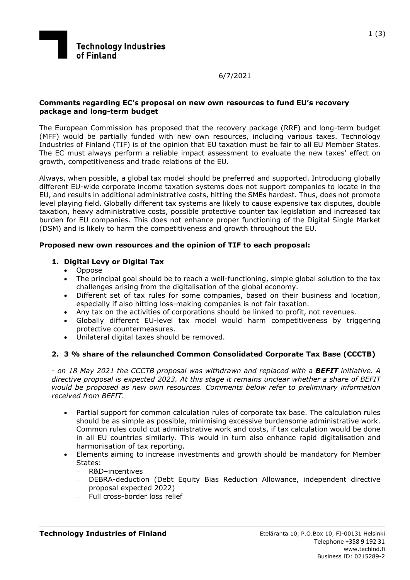

6/7/2021

#### **Comments regarding EC's proposal on new own resources to fund EU's recovery package and long-term budget**

The European Commission has proposed that the recovery package (RRF) and long-term budget (MFF) would be partially funded with new own resources, including various taxes. Technology Industries of Finland (TIF) is of the opinion that EU taxation must be fair to all EU Member States. The EC must always perform a reliable impact assessment to evaluate the new taxes' effect on growth, competitiveness and trade relations of the EU.

Always, when possible, a global tax model should be preferred and supported. Introducing globally different EU-wide corporate income taxation systems does not support companies to locate in the EU, and results in additional administrative costs, hitting the SMEs hardest. Thus, does not promote level playing field. Globally different tax systems are likely to cause expensive tax disputes, double taxation, heavy administrative costs, possible protective counter tax legislation and increased tax burden for EU companies. This does not enhance proper functioning of the Digital Single Market (DSM) and is likely to harm the competitiveness and growth throughout the EU.

### **Proposed new own resources and the opinion of TIF to each proposal:**

### **1. Digital Levy or Digital Tax**

- Oppose
- The principal goal should be to reach a well-functioning, simple global solution to the tax challenges arising from the digitalisation of the global economy.
- Different set of tax rules for some companies, based on their business and location, especially if also hitting loss-making companies is not fair taxation.
- Any tax on the activities of corporations should be linked to profit, not revenues.
- Globally different EU-level tax model would harm competitiveness by triggering protective countermeasures.
- Unilateral digital taxes should be removed.

### **2. 3 % share of the relaunched Common Consolidated Corporate Tax Base (CCCTB)**

*- on 18 May 2021 the CCCTB proposal was withdrawn and replaced with a BEFIT initiative. A directive proposal is expected 2023. At this stage it remains unclear whether a share of BEFIT would be proposed as new own resources. Comments below refer to preliminary information received from BEFIT.* 

- Partial support for common calculation rules of corporate tax base. The calculation rules should be as simple as possible, minimising excessive burdensome administrative work. Common rules could cut administrative work and costs, if tax calculation would be done in all EU countries similarly. This would in turn also enhance rapid digitalisation and harmonisation of tax reporting.
- Elements aiming to increase investments and growth should be mandatory for Member States:
	- R&D–incentives
	- DEBRA-deduction (Debt Equity Bias Reduction Allowance, independent directive proposal expected 2022)
	- Full cross-border loss relief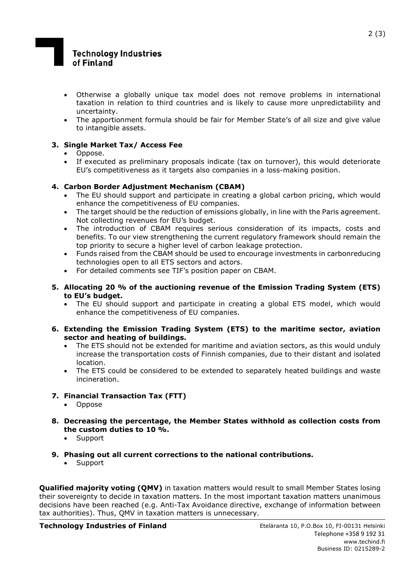# **Technology Industries** of Finland

- Otherwise a globally unique tax model does not remove problems in international taxation in relation to third countries and is likely to cause more unpredictability and uncertainty.
- The apportionment formula should be fair for Member State's of all size and give value to intangible assets.

### **3. Single Market Tax/ Access Fee**

- Oppose.
- If executed as preliminary proposals indicate (tax on turnover), this would deteriorate EU's competitiveness as it targets also companies in a loss-making position.

## **4. Carbon Border Adjustment Mechanism (CBAM)**

- The EU should support and participate in creating a global carbon pricing, which would enhance the competitiveness of EU companies.
- The target should be the reduction of emissions globally, in line with the Paris agreement. Not collecting revenues for EU's budget.
- The introduction of CBAM requires serious consideration of its impacts, costs and benefits. To our view strengthening the current regulatory framework should remain the top priority to secure a higher level of carbon leakage protection.
- Funds raised from the CBAM should be used to encourage investments in carbonreducing technologies open to all ETS sectors and actors.
- For detailed comments see TIF's position paper on CBAM.
- **5. Allocating 20 % of the auctioning revenue of the Emission Trading System (ETS) to EU's budget.** 
	- The EU should support and participate in creating a global ETS model, which would enhance the competitiveness of EU companies.
- **6. Extending the Emission Trading System (ETS) to the maritime sector, aviation sector and heating of buildings.** 
	- The ETS should not be extended for maritime and aviation sectors, as this would unduly increase the transportation costs of Finnish companies, due to their distant and isolated location.
	- The ETS could be considered to be extended to separately heated buildings and waste incineration.
- **7. Financial Transaction Tax (FTT)** 
	- Oppose
- **8. Decreasing the percentage, the Member States withhold as collection costs from the custom duties to 10 %.** 
	- Support
- **9. Phasing out all current corrections to the national contributions.** 
	- Support

**Qualified majority voting (QMV)** in taxation matters would result to small Member States losing their sovereignty to decide in taxation matters. In the most important taxation matters unanimous decisions have been reached (e.g. Anti-Tax Avoidance directive, exchange of information between tax authorities). Thus, QMV in taxation matters is unnecessary.

**Technology Industries of Finland Eteläranta 10, P.O.Box 10, FI-00131 Helsinki**